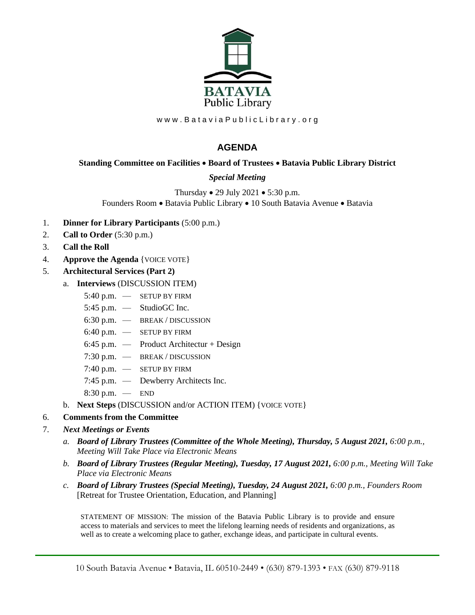

www.BataviaPublicLibrary.org

## **AGENDA**

## **Standing Committee on Facilities** • **Board of Trustees** • **Batavia Public Library District**

## *Special Meeting*

Thursday • 29 July 2021 • 5:30 p.m. Founders Room • Batavia Public Library • 10 South Batavia Avenue • Batavia

- 1. **Dinner for Library Participants** (5:00 p.m.)
- 2. **Call to Order** (5:30 p.m.)
- 3. **Call the Roll**
- 4. **Approve the Agenda** {VOICE VOTE}
- 5. **Architectural Services (Part 2)**
	- a. **Interviews** (DISCUSSION ITEM)
		- 5:40 p.m. SETUP BY FIRM
		- 5:45 p.m. StudioGC Inc.
		- 6:30 p.m. BREAK / DISCUSSION
		- 6:40 p.m. SETUP BY FIRM
		- 6:45 p.m. Product Architectur + Design
		- 7:30 p.m. BREAK / DISCUSSION
		- 7:40 p.m. SETUP BY FIRM
		- 7:45 p.m. Dewberry Architects Inc.
		- 8:30 p.m. END
	- b. **Next Steps** (DISCUSSION and/or ACTION ITEM) {VOICE VOTE}
- 6. **Comments from the Committee**

## 7. *Next Meetings or Events*

- *a. Board of Library Trustees (Committee of the Whole Meeting), Thursday, 5 August 2021, 6:00 p.m., Meeting Will Take Place via Electronic Means*
- *b. Board of Library Trustees (Regular Meeting), Tuesday, 17 August 2021, 6:00 p.m., Meeting Will Take Place via Electronic Means*
- *c. Board of Library Trustees (Special Meeting), Tuesday, 24 August 2021, 6:00 p.m., Founders Room* [Retreat for Trustee Orientation, Education, and Planning]

STATEMENT OF MISSION: The mission of the Batavia Public Library is to provide and ensure access to materials and services to meet the lifelong learning needs of residents and organizations, as well as to create a welcoming place to gather, exchange ideas, and participate in cultural events.